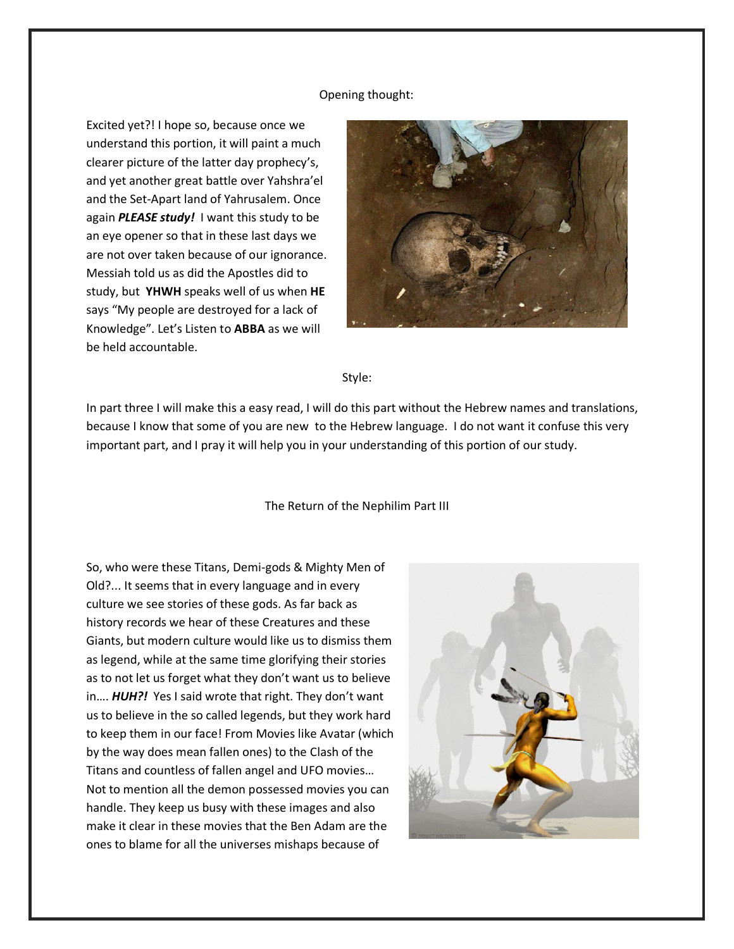## Opening thought:

Excited yet?! I hope so, because once we understand this portion, it will paint a much clearer picture of the latter day prophecy's, and yet another great battle over Yahshra'el and the Set-Apart land of Yahrusalem. Once again *PLEASE study!* I want this study to be an eye opener so that in these last days we are not over taken because of our ignorance. Messiah told us as did the Apostles did to study, but **YHWH** speaks well of us when **HE**  says "My people are destroyed for a lack of Knowledge". Let's Listen to **ABBA** as we will be held accountable.



## Style:

In part three I will make this a easy read, I will do this part without the Hebrew names and translations, because I know that some of you are new to the Hebrew language. I do not want it confuse this very important part, and I pray it will help you in your understanding of this portion of our study.

## The Return of the Nephilim Part III

So, who were these Titans, Demi-gods & Mighty Men of Old?... It seems that in every language and in every culture we see stories of these gods. As far back as history records we hear of these Creatures and these Giants, but modern culture would like us to dismiss them as legend, while at the same time glorifying their stories as to not let us forget what they don't want us to believe in…. *HUH?!* Yes I said wrote that right. They don't want us to believe in the so called legends, but they work hard to keep them in our face! From Movies like Avatar (which by the way does mean fallen ones) to the Clash of the Titans and countless of fallen angel and UFO movies… Not to mention all the demon possessed movies you can handle. They keep us busy with these images and also make it clear in these movies that the Ben Adam are the ones to blame for all the universes mishaps because of

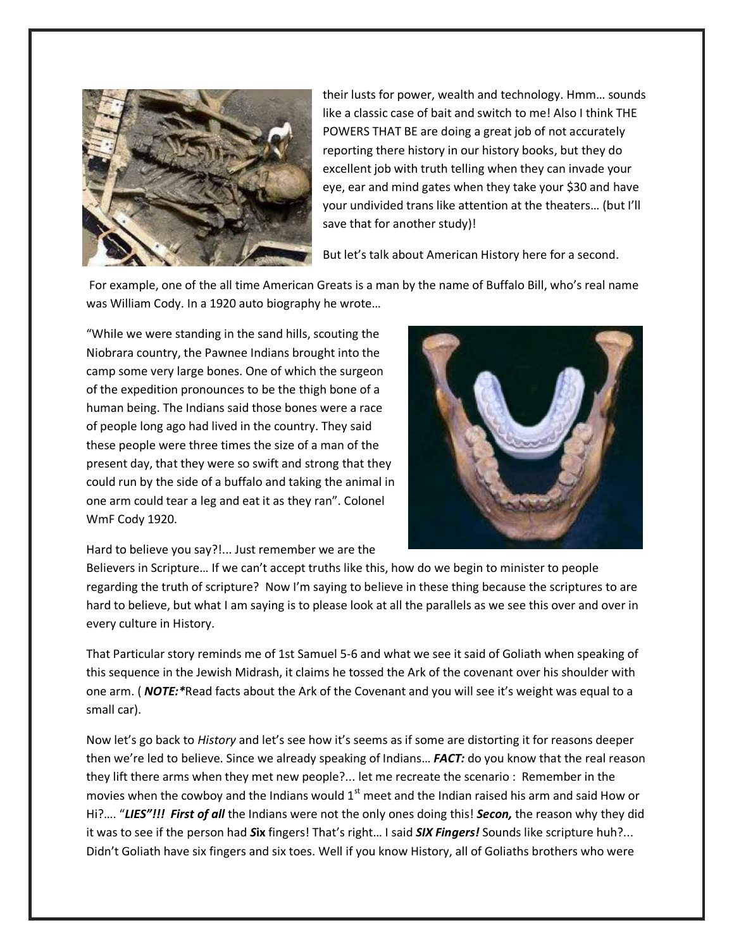

their lusts for power, wealth and technology. Hmm… sounds like a classic case of bait and switch to me! Also I think THE POWERS THAT BE are doing a great job of not accurately reporting there history in our history books, but they do excellent job with truth telling when they can invade your eye, ear and mind gates when they take your \$30 and have your undivided trans like attention at the theaters… (but I'll save that for another study)!

But let's talk about American History here for a second.

 For example, one of the all time American Greats is a man by the name of Buffalo Bill, who's real name was William Cody. In a 1920 auto biography he wrote…

"While we were standing in the sand hills, scouting the Niobrara country, the Pawnee Indians brought into the camp some very large bones. One of which the surgeon of the expedition pronounces to be the thigh bone of a human being. The Indians said those bones were a race of people long ago had lived in the country. They said these people were three times the size of a man of the present day, that they were so swift and strong that they could run by the side of a buffalo and taking the animal in one arm could tear a leg and eat it as they ran". Colonel WmF Cody 1920.



Hard to believe you say?!... Just remember we are the

Believers in Scripture… If we can't accept truths like this, how do we begin to minister to people regarding the truth of scripture? Now I'm saying to believe in these thing because the scriptures to are hard to believe, but what I am saying is to please look at all the parallels as we see this over and over in every culture in History.

That Particular story reminds me of 1st Samuel 5-6 and what we see it said of Goliath when speaking of this sequence in the Jewish Midrash, it claims he tossed the Ark of the covenant over his shoulder with one arm. ( *NOTE:\**Read facts about the Ark of the Covenant and you will see it's weight was equal to a small car).

Now let's go back to *History* and let's see how it's seems as if some are distorting it for reasons deeper then we're led to believe. Since we already speaking of Indians… *FACT:* do you know that the real reason they lift there arms when they met new people?... let me recreate the scenario : Remember in the movies when the cowboy and the Indians would  $1<sup>st</sup>$  meet and the Indian raised his arm and said How or Hi?…. "*LIES"!!! First of all* the Indians were not the only ones doing this! *Secon,* the reason why they did it was to see if the person had *S***ix** fingers! That's right… I said *SIX Fingers!* Sounds like scripture huh?... Didn't Goliath have six fingers and six toes. Well if you know History, all of Goliaths brothers who were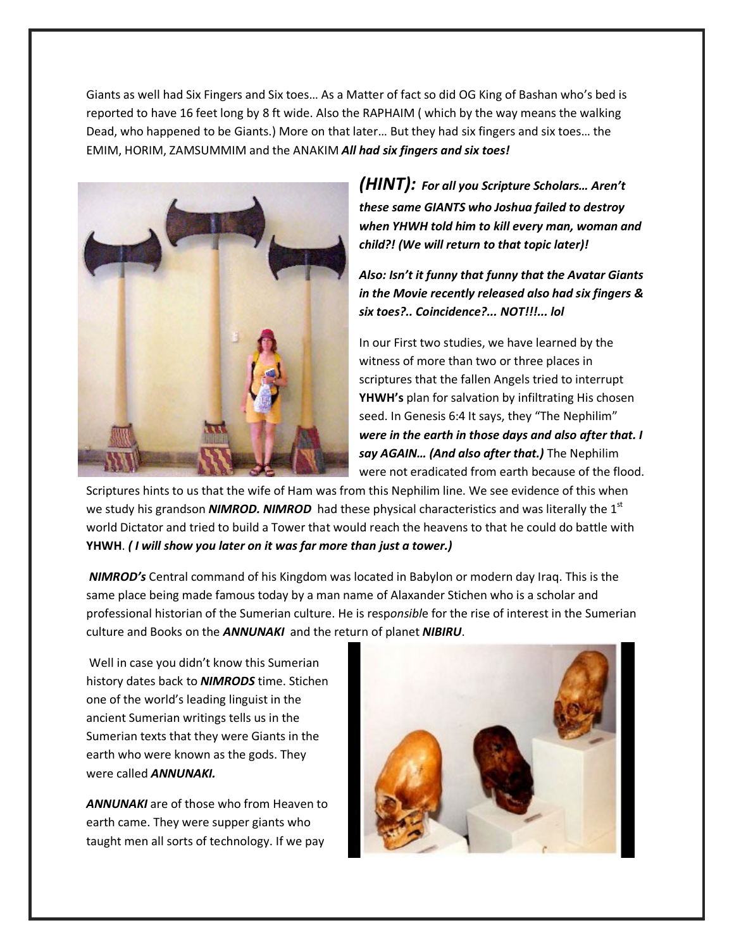Giants as well had Six Fingers and Six toes… As a Matter of fact so did OG King of Bashan who's bed is reported to have 16 feet long by 8 ft wide. Also the RAPHAIM ( which by the way means the walking Dead, who happened to be Giants.) More on that later… But they had six fingers and six toes… the EMIM, HORIM, ZAMSUMMIM and the ANAKIM *All had six fingers and six toes!* 



*(HINT): For all you Scripture Scholars… Aren't these same GIANTS who Joshua failed to destroy when YHWH told him to kill every man, woman and child?! (We will return to that topic later)!* 

*Also: Isn't it funny that funny that the Avatar Giants in the Movie recently released also had six fingers & six toes?.. Coincidence?... NOT!!!... lol* 

In our First two studies, we have learned by the witness of more than two or three places in scriptures that the fallen Angels tried to interrupt **YHWH's** plan for salvation by infiltrating His chosen seed. In Genesis 6:4 It says, they "The Nephilim" *were in the earth in those days and also after that. I say AGAIN… (And also after that.)* The Nephilim were not eradicated from earth because of the flood.

Scriptures hints to us that the wife of Ham was from this Nephilim line. We see evidence of this when we study his grandson **NIMROD. NIMROD** had these physical characteristics and was literally the 1<sup>st</sup> world Dictator and tried to build a Tower that would reach the heavens to that he could do battle with **YHWH**. *( I will show you later on it was far more than just a tower.)* 

*NIMROD's* Central command of his Kingdom was located in Babylon or modern day Iraq. This is the same place being made famous today by a man name of Alaxander Stichen who is a scholar and professional historian of the Sumerian culture. He is resp*onsibl*e for the rise of interest in the Sumerian culture and Books on the *ANNUNAKI* and the return of planet *NIBIRU*.

 Well in case you didn't know this Sumerian history dates back to *NIMRODS* time. Stichen one of the world's leading linguist in the ancient Sumerian writings tells us in the Sumerian texts that they were Giants in the earth who were known as the gods. They were called *ANNUNAKI.* 

*ANNUNAKI* are of those who from Heaven to earth came. They were supper giants who taught men all sorts of technology. If we pay

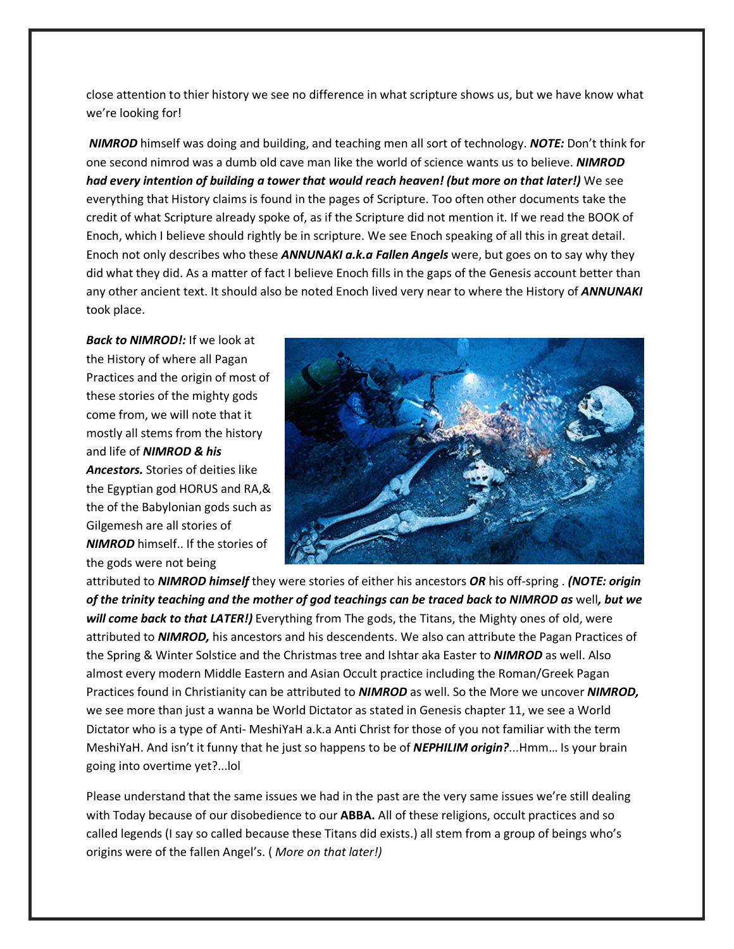close attention to thier history we see no difference in what scripture shows us, but we have know what we're looking for!

*NIMROD* himself was doing and building, and teaching men all sort of technology. *NOTE:* Don't think for one second nimrod was a dumb old cave man like the world of science wants us to believe. *NIMROD had every intention of building a tower that would reach heaven! (but more on that later!)* We see everything that History claims is found in the pages of Scripture. Too often other documents take the credit of what Scripture already spoke of, as if the Scripture did not mention it. If we read the BOOK of Enoch, which I believe should rightly be in scripture. We see Enoch speaking of all this in great detail. Enoch not only describes who these *ANNUNAKI a.k.a Fallen Angels* were, but goes on to say why they did what they did. As a matter of fact I believe Enoch fills in the gaps of the Genesis account better than any other ancient text. It should also be noted Enoch lived very near to where the History of *ANNUNAKI*  took place.

*Back to NIMROD!:* If we look at the History of where all Pagan Practices and the origin of most of these stories of the mighty gods come from, we will note that it mostly all stems from the history and life of *NIMROD & his Ancestors.* Stories of deities like the Egyptian god HORUS and RA,& the of the Babylonian gods such as Gilgemesh are all stories of *NIMROD* himself.. If the stories of the gods were not being



attributed to *NIMROD himself* they were stories of either his ancestors *OR* his off-spring . *(NOTE: origin of the trinity teaching and the mother of god teachings can be traced back to NIMROD as* well*, but we will come back to that LATER!)* Everything from The gods, the Titans, the Mighty ones of old, were attributed to *NIMROD,* his ancestors and his descendents. We also can attribute the Pagan Practices of the Spring & Winter Solstice and the Christmas tree and Ishtar aka Easter to *NIMROD* as well. Also almost every modern Middle Eastern and Asian Occult practice including the Roman/Greek Pagan Practices found in Christianity can be attributed to *NIMROD* as well. So the More we uncover *NIMROD,*  we see more than just a wanna be World Dictator as stated in Genesis chapter 11, we see a World Dictator who is a type of Anti- MeshiYaH a.k.a Anti Christ for those of you not familiar with the term MeshiYaH. And isn't it funny that he just so happens to be of *NEPHILIM origin?*...Hmm… Is your brain going into overtime yet?...lol

Please understand that the same issues we had in the past are the very same issues we're still dealing with Today because of our disobedience to our **ABBA.** All of these religions, occult practices and so called legends (I say so called because these Titans did exists.) all stem from a group of beings who's origins were of the fallen Angel's. ( *More on that later!)*